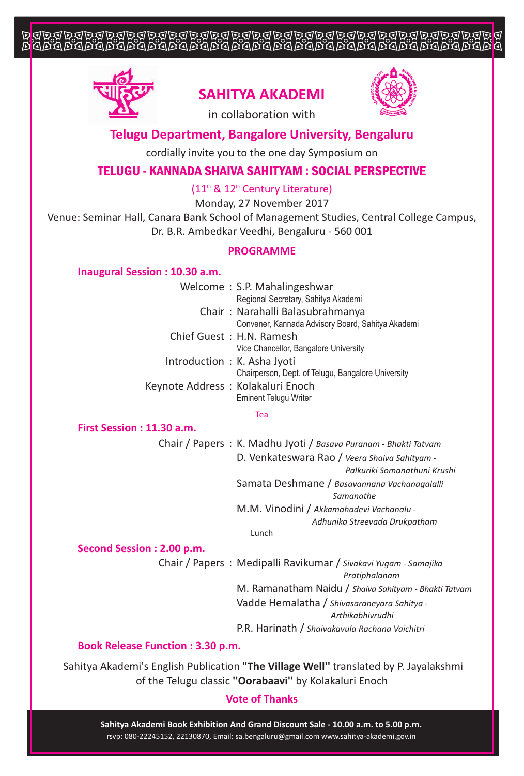# JJJJJJJJJJJJJJJJJJJJJJJ



## **SAHITYA AKADEMI**



in collaboration with

## **Telugu Department, Bangalore University, Bengaluru**

cordially invite you to the one day Symposium on

## TELUGU - KANNADA SHAIVA SAHITYAM : SOCIAL PERSPECTIVE

 $(11<sup>th</sup>$  &  $12<sup>th</sup>$  Century Literature)

Monday, 27 November 2017

Venue: Seminar Hall, Canara Bank School of Management Studies, Central College Campus, Dr. B.R. Ambedkar Veedhi, Bengaluru - 560 001

### **PROGRAMME**

#### **Inaugural Session : 10.30 a.m.**

|                                   | Welcome: S.P. Mahalingeshwar                       |
|-----------------------------------|----------------------------------------------------|
|                                   | Regional Secretary, Sahitya Akademi                |
|                                   | Chair: Narahalli Balasubrahmanya                   |
|                                   | Convener, Kannada Advisory Board, Sahitya Akademi  |
| Chief Guest: H.N. Ramesh          |                                                    |
|                                   | Vice Chancellor, Bangalore University              |
| Introduction: K. Asha Jyoti       |                                                    |
|                                   | Chairperson, Dept. of Telugu, Bangalore University |
| Keynote Address: Kolakaluri Enoch |                                                    |
|                                   | <b>Eminent Telugu Writer</b>                       |

#### Tea

### **First Session : 11.30 a.m.**

Chair / Papers : K. Madhu Jyoti / *Basava Puranam - Bhakti Tatvam* D. Venkateswara Rao / *Veera Shaiva Sahityam - Palkuriki Somanathuni Krushi* Samata Deshmane / *Basavannana Vachanagalalli Samanathe* M.M. Vinodini / *Akkamahadevi Vachanalu - Adhunika Streevada Drukpatham*

Lunch

#### **Second Session : 2.00 p.m.**

Chair / Papers : Medipalli Ravikumar / *Sivakavi Yugam - Samajika Pratiphalanam* M. Ramanatham Naidu / *Shaiva Sahityam - Bhakti Tatvam* Vadde Hemalatha / *Shivasaraneyara Sahitya - Arthikabhivrudhi*

P.R. Harinath / *Shaivakavula Rachana Vaichitri*

#### **Book Release Function : 3.30 p.m.**

Sahitya Akademi's English Publication **"The Village Well''** translated by P. Jayalakshmi of the Telugu classic **''Oorabaavi''** by Kolakaluri Enoch

## **Vote of Thanks**

rsvp: 080-22245152, 22130870, Email: sa.bengaluru@gmail.com www.sahitya-akademi.gov.in **Sahitya Akademi Book Exhibition And Grand Discount Sale - 10.00 a.m. to 5.00 p.m.**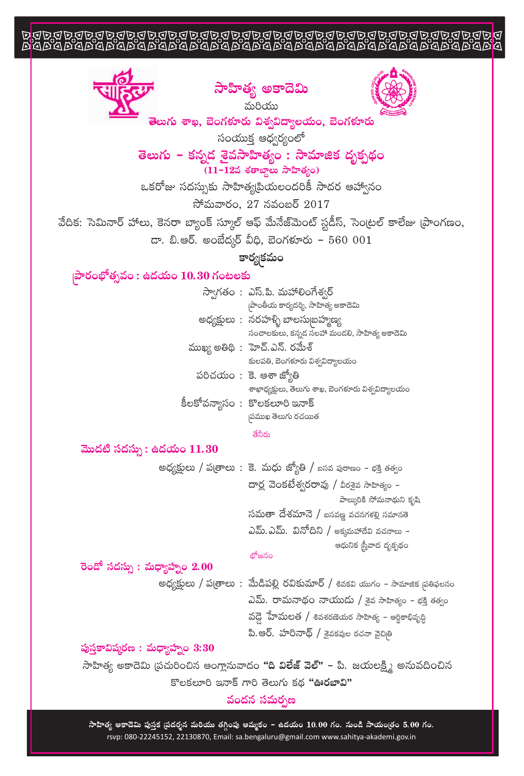# 







.<br>తెలుగు శాఖ, బెంగకూరు విశ్వవిద్యాలయం, బెంగకూరు

సంయుక్త ఆధ్వర్యంలో

## తెలుగు – కన్నడ శైవసాహిత్యం : సామాజిక దృక్పథం  $(11-125$  శతాబ్దాలు సాహిత్యం)

ఒకరోజు సదస్సుకు సాహిత్యప్రియలందరికీ సాదర ఆహ్వానం

సోమవారం,  $27$  నవంబర్  $2017$ 

వేదిక: సెమినార్ హాలు, కెనరా బ్యాంక్ స్మూల్ ఆఫ్ మేనేజ్మెంట్ స్టడీస్, సెంట్రల్ కాలేజు [ప్రాంగణం,

 $\overline{a}$ . బి.ఆర్. అంబేద్కర్ వీధి, బెంగళూరు - 560 001

కార్య|కమం

## |పారంభోత్సవం : ఉదయం 10.30 గంటలకు

|  | స్వాగతం : ఎస్.పి. మహాలింగేశ్వర్                    |
|--|----------------------------------------------------|
|  | పాంతీయ కార్యదర్శి, సాహిత్య అకాదెమి                 |
|  | అధ్యక్షులు : నరహళ్ళి బాలసుబ్రహ్మణ్య                |
|  | సంచాలకులు, కన్నడ సలహా మండలి, సాహిత్య అకాదెమి       |
|  | ముఖ్య అతిథి: హెచ్.ఎన్. రమేశ్                       |
|  | కులపతి, బెంగళూరు విశ్వవిద్యాలయం                    |
|  | పరిచయం : కె. ఆశా జ్యోతి                            |
|  | శాఖాధ్యక్షులు, తెలుగు శాఖ, బెంగళూరు విశ్వవిద్యాలయం |
|  | కీలకోవన్యాసం : కొలకలూరి ఇనాక్                      |
|  | పముఖ తెలుగు రచయిత                                  |

తేనీరు

#### మొదటి సదస్సు : ఉదయం  $11.30$

అధ్యక్షులు / ప(తాలు: కె. మధు జ్యోతి / బసవ పురాణం - భక్తి తత్వం దార్ల వెంకటేశ్వరరావు / వీరకైవ సాహిత్యం – పాల్కురికి సోమనాథుని కృషి సమతా దేశమానె / బసవజ్ఞ వచనగళల్లి సమానతె ఎమ్.ఎమ్. వినోదిని / అక్కమహాదేవి వచనాలు – ఆధునిక స్త్రీవాద దృక్పథం

## భోజనం

## రెండో సదస్సు : మధ్యాహ్నం  $2.00$

అధ్యక్షులు / ప(తాలు : మేడిపల్లి రవికుమార్ / శివకవి యుగం – సామాజిక వ్రతిఫలనం ఎమ్. రామనాథం నాయుడు / శైవ సాహిత్యం - భక్తి తత్వం వడ్డె హేమలత / శివశరణెయర సాహిత్య – అర్థికాభివృద్ధి పి.ఆర్. హరినాథ్ / శైవకవుల రచనా వైచితి

## పుస్తకావిష్మరణ : మధ్యాహ్నం  $3:30$

సాహిత్య అకాదెమి (పచురించిన ఆంగ్లానువాదం **"ది విలేజ్ వెల్" –** పి. జయలక్ష్మి అనువదించిన కొలకలూరి ఇనాక్ గారి తెలుగు కద "ఊరబావి"

## వందన సమర్పణ

సాహిత్య అకాదెమి పుస్తక ప్రదర్శన మరియు తగ్గింపు అమ్మకం – ఉదయం 10.00 గం. నుండి సాయంత్రం 5.00 గం. rsvp: 080-22245152, 22130870, Email: sa.bengaluru@gmail.com www.sahitya-akademi.gov.in